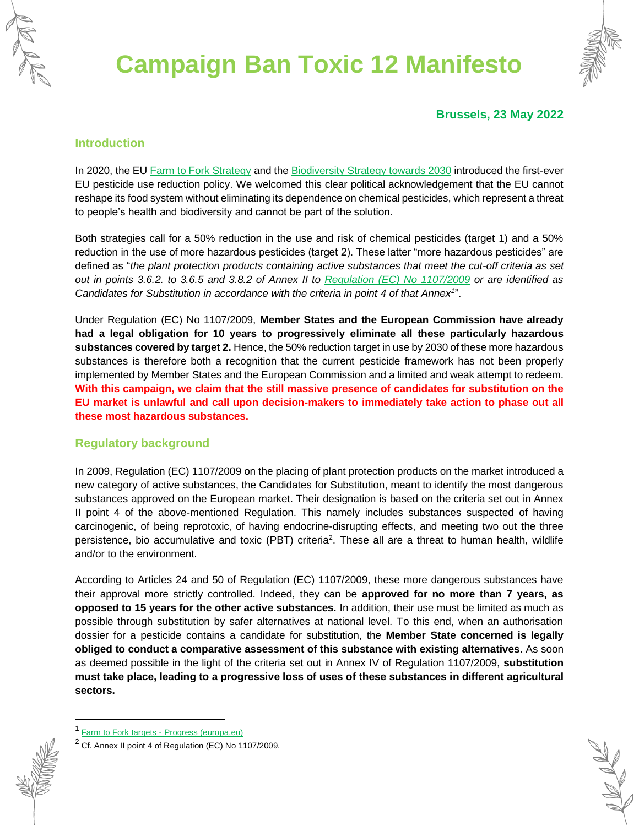



#### **Brussels, 23 May 2022**

#### **Introduction**

In 2020, the E[U Farm to Fork Strategy](https://ec.europa.eu/food/horizontal-topics/farm-fork-strategy_en) and the [Biodiversity Strategy towards 2030](https://ec.europa.eu/info/strategy/priorities-2019-2024/european-green-deal/actions-being-taken-eu/eu-biodiversity-strategy-2030_en) introduced the first-ever EU pesticide use reduction policy. We welcomed this clear political acknowledgement that the EU cannot reshape its food system without eliminating its dependence on chemical pesticides, which represent a threat to people's health and biodiversity and cannot be part of the solution.

Both strategies call for a 50% reduction in the use and risk of chemical pesticides (target 1) and a 50% reduction in the use of more hazardous pesticides (target 2). These latter "more hazardous pesticides" are defined as "*the plant protection products containing active substances that meet the cut-off criteria as set out in points 3.6.2. to 3.6.5 and 3.8.2 of Annex II to [Regulation \(EC\) No 1107/2009](https://eur-lex.europa.eu/eli/reg/2009/1107/oj) or are identified as Candidates for Substitution in accordance with the criteria in point 4 of that Annex<sup>1</sup>* ".

Under Regulation (EC) No 1107/2009, **Member States and the European Commission have already had a legal obligation for 10 years to progressively eliminate all these particularly hazardous substances covered by target 2.** Hence, the 50% reduction target in use by 2030 of these more hazardous substances is therefore both a recognition that the current pesticide framework has not been properly implemented by Member States and the European Commission and a limited and weak attempt to redeem. **With this campaign, we claim that the still massive presence of candidates for substitution on the EU market is unlawful and call upon decision-makers to immediately take action to phase out all these most hazardous substances.**

#### **Regulatory background**

In 2009, Regulation (EC) 1107/2009 on the placing of plant protection products on the market introduced a new category of active substances, the Candidates for Substitution, meant to identify the most dangerous substances approved on the European market. Their designation is based on the criteria set out in Annex II point 4 of the above-mentioned Regulation. This namely includes substances suspected of having carcinogenic, of being reprotoxic, of having endocrine-disrupting effects, and meeting two out the three persistence, bio accumulative and toxic (PBT) criteria<sup>2</sup>. These all are a threat to human health, wildlife and/or to the environment.

According to Articles 24 and 50 of Regulation (EC) 1107/2009, these more dangerous substances have their approval more strictly controlled. Indeed, they can be **approved for no more than 7 years, as opposed to 15 years for the other active substances.** In addition, their use must be limited as much as possible through substitution by safer alternatives at national level. To this end, when an authorisation dossier for a pesticide contains a candidate for substitution, the **Member State concerned is legally obliged to conduct a comparative assessment of this substance with existing alternatives**. As soon as deemed possible in the light of the criteria set out in Annex IV of Regulation 1107/2009, **substitution must take place, leading to a progressive loss of uses of these substances in different agricultural sectors.**

<sup>&</sup>lt;sup>1</sup> [Farm to Fork targets -](https://ec.europa.eu/food/plants/pesticides/sustainable-use-pesticides/farm-fork-targets-progress_en) Progress (europa.eu)

 $2$  Cf. Annex II point 4 of Regulation (EC) No 1107/2009.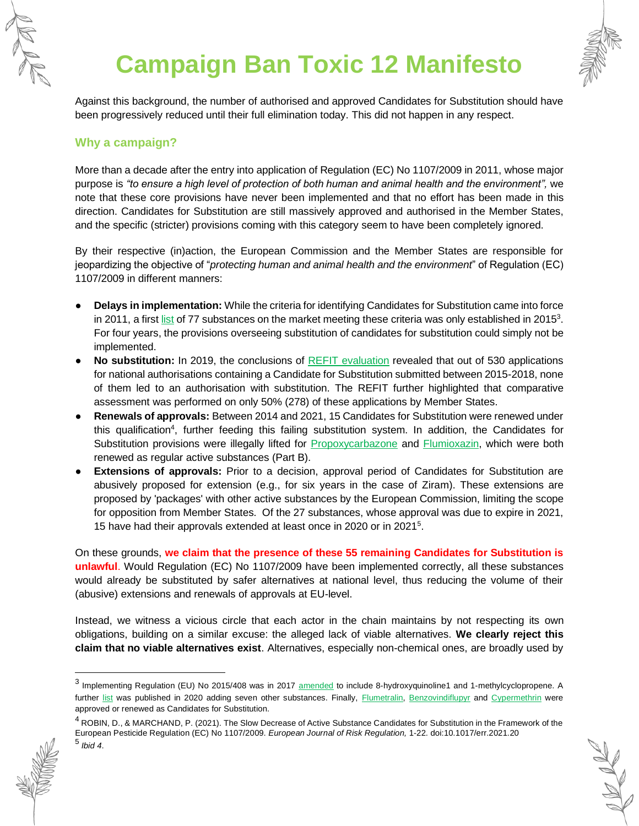



Against this background, the number of authorised and approved Candidates for Substitution should have been progressively reduced until their full elimination today. This did not happen in any respect.

### **Why a campaign?**

More than a decade after the entry into application of Regulation (EC) No 1107/2009 in 2011, whose major purpose is *"to ensure a high level of protection of both human and animal health and the environment",* we note that these core provisions have never been implemented and that no effort has been made in this direction. Candidates for Substitution are still massively approved and authorised in the Member States, and the specific (stricter) provisions coming with this category seem to have been completely ignored.

By their respective (in)action, the European Commission and the Member States are responsible for jeopardizing the objective of "*protecting human and animal health and the environment*" of Regulation (EC) 1107/2009 in different manners:

- **Delays in implementation:** While the criteria for identifying Candidates for Substitution came into force in 2011, a firs[t list](https://eur-lex.europa.eu/legal-content/EN/TXT/?uri=uriserv%3AOJ.L_.2015.067.01.0018.01.ENG) of 77 substances on the market meeting these criteria was only established in 2015<sup>3</sup>. For four years, the provisions overseeing substitution of candidates for substitution could simply not be implemented.
- **No substitution:** In 2019, the conclusions of [REFIT evaluation](https://ec.europa.eu/food/plants/pesticides/refit_en#in_depth_interviews_fol) revealed that out of 530 applications for national authorisations containing a Candidate for Substitution submitted between 2015-2018, none of them led to an authorisation with substitution. The REFIT further highlighted that comparative assessment was performed on only 50% (278) of these applications by Member States.
- **Renewals of approvals:** Between 2014 and 2021, 15 Candidates for Substitution were renewed under this qualification<sup>4</sup>, further feeding this failing substitution system. In addition, the Candidates for Substitution provisions were illegally lifted for [Propoxycarbazone](https://eur-lex.europa.eu/legal-content/EN/TXT/?uri=CELEX%3A32017R1115&qid=1645439605387) and [Flumioxazin,](https://eur-lex.europa.eu/legal-content/EN/TXT/?uri=CELEX%3A32022R0043&qid=1645439627725) which were both renewed as regular active substances (Part B).
- **Extensions of approvals:** Prior to a decision, approval period of Candidates for Substitution are abusively proposed for extension (e.g., for six years in the case of Ziram). These extensions are proposed by 'packages' with other active substances by the European Commission, limiting the scope for opposition from Member States. Of the 27 substances, whose approval was due to expire in 2021, 15 have had their approvals extended at least once in 2020 or in 2021<sup>5</sup>.

On these grounds, **we claim that the presence of these 55 remaining Candidates for Substitution is unlawful**. Would Regulation (EC) No 1107/2009 have been implemented correctly, all these substances would already be substituted by safer alternatives at national level, thus reducing the volume of their (abusive) extensions and renewals of approvals at EU-level.

Instead, we witness a vicious circle that each actor in the chain maintains by not respecting its own obligations, building on a similar excuse: the alleged lack of viable alternatives. **We clearly reject this claim that no viable alternatives exist**. Alternatives, especially non-chemical ones, are broadly used by

<sup>4</sup> ROBIN, D., & MARCHAND, P. (2021). The Slow Decrease of Active Substance Candidates for Substitution in the Framework of the European Pesticide Regulation (EC) No 1107/2009. *European Journal of Risk Regulation,* 1-22. doi:10.1017/err.2021.20 5 *Ibid 4*.



<sup>&</sup>lt;sup>3</sup> Implementing Regulation (EU) No 2015/408 was in 2017 [amended](https://eur-lex.europa.eu/legal-content/EN/TXT/?uri=CELEX%3A32017R2065&qid=1645438409570) to include 8-hydroxyquinoline1 and 1-methylcyclopropene. A further [list](https://eur-lex.europa.eu/legal-content/EN/TXT/?toc=OJ%3AL%3A2020%3A303%3ATOC&uri=uriserv%3AOJ.L_.2020.303.01.0018.01.ENG) was published in 2020 adding seven other substances. Finally, [Flumetralin,](https://eur-lex.europa.eu/legal-content/EN/TXT/?uri=CELEX%3A32015R2105&qid=1645437597286) [Benzovindiflupyr](https://eur-lex.europa.eu/legal-content/EN/TXT/?uri=CELEX%3A32016R0177&qid=1645437615436) and [Cypermethrin](https://eur-lex.europa.eu/legal-content/EN/TXT/?uri=CELEX%3A32021R2049&qid=1645437646884) were approved or renewed as Candidates for Substitution.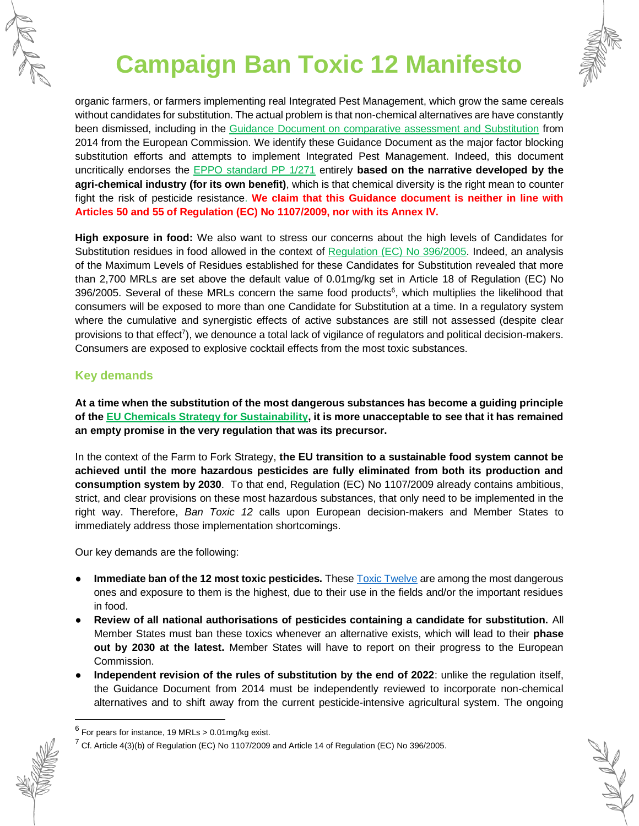



organic farmers, or farmers implementing real Integrated Pest Management, which grow the same cereals without candidates for substitution. The actual problem is that non-chemical alternatives are have constantly been dismissed, including in the [Guidance Document on comparative assessment and Substitution](https://ec.europa.eu/food/system/files/2016-10/pesticides_aas_guidance_comparative_assessment_substitution_rev_1107-2009.pdf) from 2014 from the European Commission. We identify these Guidance Document as the major factor blocking substitution efforts and attempts to implement Integrated Pest Management. Indeed, this document uncritically endorses the [EPPO standard PP 1/271](https://pp1.eppo.int/standards/PP1-271-3) entirely **based on the narrative developed by the agri-chemical industry (for its own benefit)**, which is that chemical diversity is the right mean to counter fight the risk of pesticide resistance. **We claim that this Guidance document is neither in line with Articles 50 and 55 of Regulation (EC) No 1107/2009, nor with its Annex IV.**

**High exposure in food:** We also want to stress our concerns about the high levels of Candidates for Substitution residues in food allowed in the context of [Regulation \(EC\) No 396/2005.](https://eur-lex.europa.eu/eli/reg/2005/396/oj) Indeed, an analysis of the Maximum Levels of Residues established for these Candidates for Substitution revealed that more than 2,700 MRLs are set above the default value of 0.01mg/kg set in Article 18 of Regulation (EC) No 396/2005. Several of these MRLs concern the same food products<sup>6</sup>, which multiplies the likelihood that consumers will be exposed to more than one Candidate for Substitution at a time. In a regulatory system where the cumulative and synergistic effects of active substances are still not assessed (despite clear provisions to that effect<sup>7</sup>), we denounce a total lack of vigilance of regulators and political decision-makers. Consumers are exposed to explosive cocktail effects from the most toxic substances.

### **Key demands**

**At a time when the substitution of the most dangerous substances has become a guiding principle of the [EU Chemicals Strategy for Sustainability,](https://ec.europa.eu/environment/strategy/chemicals-strategy_en#:~:text=The%20European%20Commission%20published%20a%20chemicals%20strategy%20for,boost%20innovation%20for%20safe%20and%20sustainable%20chemicals%20Actions) it is more unacceptable to see that it has remained an empty promise in the very regulation that was its precursor.**

In the context of the Farm to Fork Strategy, **the EU transition to a sustainable food system cannot be achieved until the more hazardous pesticides are fully eliminated from both its production and consumption system by 2030**. To that end, Regulation (EC) No 1107/2009 already contains ambitious, strict, and clear provisions on these most hazardous substances, that only need to be implemented in the right way. Therefore, *Ban Toxic 12* calls upon European decision-makers and Member States to immediately address those implementation shortcomings.

Our key demands are the following:

- **Immediate ban of the 12 most toxic pesticides.** These **Toxic Twelve are among the most dangerous** ones and exposure to them is the highest, due to their use in the fields and/or the important residues in food.
- **Review of all national authorisations of pesticides containing a candidate for substitution.** All Member States must ban these toxics whenever an alternative exists, which will lead to their **phase out by 2030 at the latest.** Member States will have to report on their progress to the European Commission.
- **Independent revision of the rules of substitution by the end of 2022:** unlike the regulation itself, the Guidance Document from 2014 must be independently reviewed to incorporate non-chemical alternatives and to shift away from the current pesticide-intensive agricultural system. The ongoing



 $^6$  For pears for instance, 19 MRLs > 0.01mg/kg exist.

 $<sup>7</sup>$  Cf. Article 4(3)(b) of Regulation (EC) No 1107/2009 and Article 14 of Regulation (EC) No 396/2005.</sup>